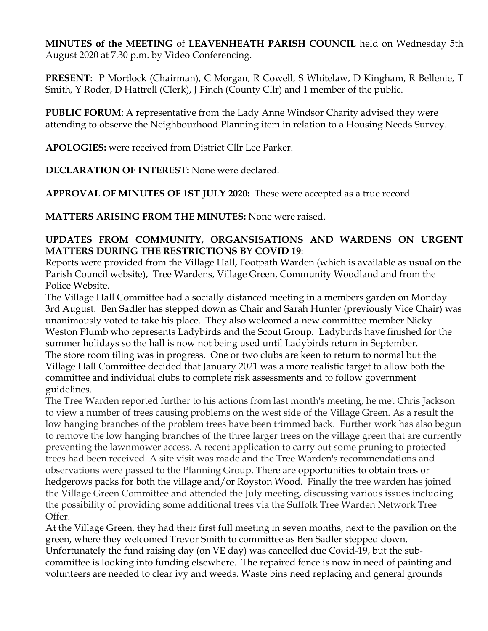**MINUTES of the MEETING** of **LEAVENHEATH PARISH COUNCIL** held on Wednesday 5th August 2020 at 7.30 p.m. by Video Conferencing.

**PRESENT**: P Mortlock (Chairman), C Morgan, R Cowell, S Whitelaw, D Kingham, R Bellenie, T Smith, Y Roder, D Hattrell (Clerk), J Finch (County Cllr) and 1 member of the public.

**PUBLIC FORUM**: A representative from the Lady Anne Windsor Charity advised they were attending to observe the Neighbourhood Planning item in relation to a Housing Needs Survey.

**APOLOGIES:** were received from District Cllr Lee Parker.

**DECLARATION OF INTEREST:** None were declared.

**APPROVAL OF MINUTES OF 1ST JULY 2020:** These were accepted as a true record

**MATTERS ARISING FROM THE MINUTES:** None were raised.

## **UPDATES FROM COMMUNITY, ORGANSISATIONS AND WARDENS ON URGENT MATTERS DURING THE RESTRICTIONS BY COVID 19**:

Reports were provided from the Village Hall, Footpath Warden (which is available as usual on the Parish Council website), Tree Wardens, Village Green, Community Woodland and from the Police Website.

The Village Hall Committee had a socially distanced meeting in a members garden on Monday 3rd August. Ben Sadler has stepped down as Chair and Sarah Hunter (previously Vice Chair) was unanimously voted to take his place. They also welcomed a new committee member Nicky Weston Plumb who represents Ladybirds and the Scout Group. Ladybirds have finished for the summer holidays so the hall is now not being used until Ladybirds return in September. The store room tiling was in progress. One or two clubs are keen to return to normal but the Village Hall Committee decided that January 2021 was a more realistic target to allow both the committee and individual clubs to complete risk assessments and to follow government guidelines.

The Tree Warden reported further to his actions from last month's meeting, he met Chris Jackson to view a number of trees causing problems on the west side of the Village Green. As a result the low hanging branches of the problem trees have been trimmed back. Further work has also begun to remove the low hanging branches of the three larger trees on the village green that are currently preventing the lawnmower access. A recent application to carry out some pruning to protected trees had been received. A site visit was made and the Tree Warden's recommendations and observations were passed to the Planning Group. There are opportunities to obtain trees or hedgerows packs for both the village and/or Royston Wood. Finally the tree warden has joined the Village Green Committee and attended the July meeting, discussing various issues including the possibility of providing some additional trees via the Suffolk Tree Warden Network Tree Offer.

At the Village Green, they had their first full meeting in seven months, next to the pavilion on the green, where they welcomed Trevor Smith to committee as Ben Sadler stepped down. Unfortunately the fund raising day (on VE day) was cancelled due Covid-19, but the subcommittee is looking into funding elsewhere. The repaired fence is now in need of painting and volunteers are needed to clear ivy and weeds. Waste bins need replacing and general grounds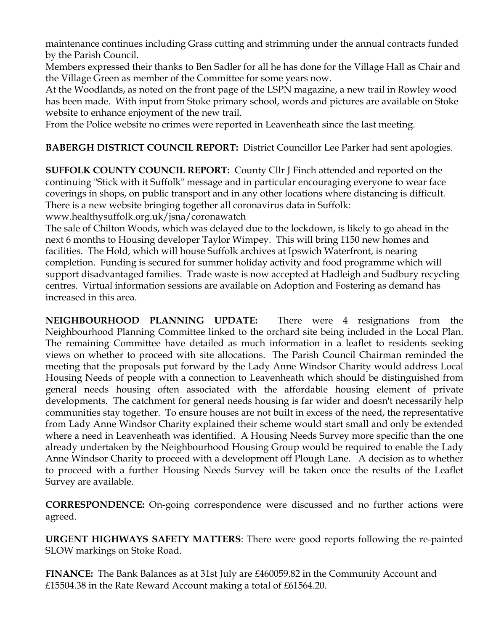maintenance continues including Grass cutting and strimming under the annual contracts funded by the Parish Council.

Members expressed their thanks to Ben Sadler for all he has done for the Village Hall as Chair and the Village Green as member of the Committee for some years now.

At the Woodlands, as noted on the front page of the LSPN magazine, a new trail in Rowley wood has been made. With input from Stoke primary school, words and pictures are available on Stoke website to enhance enjoyment of the new trail.

From the Police website no crimes were reported in Leavenheath since the last meeting.

**BABERGH DISTRICT COUNCIL REPORT:** District Councillor Lee Parker had sent apologies.

**SUFFOLK COUNTY COUNCIL REPORT:** County Cllr J Finch attended and reported on the continuing "Stick with it Suffolk" message and in particular encouraging everyone to wear face coverings in shops, on public transport and in any other locations where distancing is difficult. There is a new website bringing together all coronavirus data in Suffolk:

www.healthysuffolk.org.uk/jsna/coronawatch

The sale of Chilton Woods, which was delayed due to the lockdown, is likely to go ahead in the next 6 months to Housing developer Taylor Wimpey. This will bring 1150 new homes and facilities. The Hold, which will house Suffolk archives at Ipswich Waterfront, is nearing completion. Funding is secured for summer holiday activity and food programme which will support disadvantaged families. Trade waste is now accepted at Hadleigh and Sudbury recycling centres. Virtual information sessions are available on Adoption and Fostering as demand has increased in this area.

**NEIGHBOURHOOD PLANNING UPDATE:** There were 4 resignations from the Neighbourhood Planning Committee linked to the orchard site being included in the Local Plan. The remaining Committee have detailed as much information in a leaflet to residents seeking views on whether to proceed with site allocations. The Parish Council Chairman reminded the meeting that the proposals put forward by the Lady Anne Windsor Charity would address Local Housing Needs of people with a connection to Leavenheath which should be distinguished from general needs housing often associated with the affordable housing element of private developments. The catchment for general needs housing is far wider and doesn't necessarily help communities stay together. To ensure houses are not built in excess of the need, the representative from Lady Anne Windsor Charity explained their scheme would start small and only be extended where a need in Leavenheath was identified. A Housing Needs Survey more specific than the one already undertaken by the Neighbourhood Housing Group would be required to enable the Lady Anne Windsor Charity to proceed with a development off Plough Lane. A decision as to whether to proceed with a further Housing Needs Survey will be taken once the results of the Leaflet Survey are available.

**CORRESPONDENCE:** On-going correspondence were discussed and no further actions were agreed.

**URGENT HIGHWAYS SAFETY MATTERS**: There were good reports following the re-painted SLOW markings on Stoke Road.

**FINANCE:** The Bank Balances as at 31st July are £460059.82 in the Community Account and £15504.38 in the Rate Reward Account making a total of £61564.20.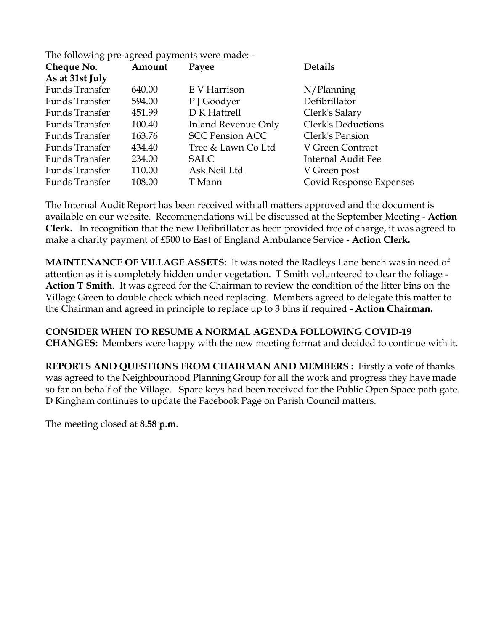| The following pre-agreed payments were made: - |
|------------------------------------------------|
|------------------------------------------------|

| Cheque No.            | Amount | Payee                      | <b>Details</b>            |
|-----------------------|--------|----------------------------|---------------------------|
| As at 31st July       |        |                            |                           |
| <b>Funds Transfer</b> | 640.00 | E V Harrison               | $N/$ Planning             |
| <b>Funds Transfer</b> | 594.00 | P J Goodyer                | Defibrillator             |
| Funds Transfer        | 451.99 | D K Hattrell               | Clerk's Salary            |
| <b>Funds Transfer</b> | 100.40 | <b>Inland Revenue Only</b> | <b>Clerk's Deductions</b> |
| <b>Funds Transfer</b> | 163.76 | <b>SCC Pension ACC</b>     | Clerk's Pension           |
| <b>Funds Transfer</b> | 434.40 | Tree & Lawn Co Ltd         | V Green Contract          |
| <b>Funds Transfer</b> | 234.00 | SALC                       | Internal Audit Fee        |
| <b>Funds Transfer</b> | 110.00 | Ask Neil Ltd               | V Green post              |
| <b>Funds Transfer</b> | 108.00 | T Mann                     | Covid Response Expenses   |
|                       |        |                            |                           |

The Internal Audit Report has been received with all matters approved and the document is available on our website. Recommendations will be discussed at the September Meeting - **Action Clerk.** In recognition that the new Defibrillator as been provided free of charge, it was agreed to make a charity payment of £500 to East of England Ambulance Service - **Action Clerk.**

**MAINTENANCE OF VILLAGE ASSETS:** It was noted the Radleys Lane bench was in need of attention as it is completely hidden under vegetation. T Smith volunteered to clear the foliage - **Action T Smith**. It was agreed for the Chairman to review the condition of the litter bins on the Village Green to double check which need replacing. Members agreed to delegate this matter to the Chairman and agreed in principle to replace up to 3 bins if required **- Action Chairman.** 

**CONSIDER WHEN TO RESUME A NORMAL AGENDA FOLLOWING COVID-19 CHANGES:** Members were happy with the new meeting format and decided to continue with it.

**REPORTS AND QUESTIONS FROM CHAIRMAN AND MEMBERS :** Firstly a vote of thanks was agreed to the Neighbourhood Planning Group for all the work and progress they have made so far on behalf of the Village. Spare keys had been received for the Public Open Space path gate. D Kingham continues to update the Facebook Page on Parish Council matters.

The meeting closed at **8.58 p.m**.